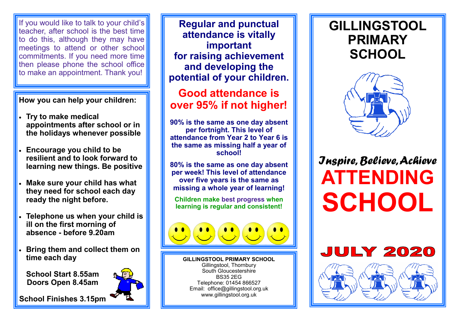If you would like to talk to your child's teacher, after school is the best time to do this, although they may have meetings to attend or other school commitments. If you need more time then please phone the school office to make an appointment. Thank you!

#### **How you can help your children:**

- **Try to make medical appointments after school or in the holidays whenever possible**
- **Encourage you child to be resilient and to look forward to learning new things. Be positive**
- **Make sure your child has what they need for school each day ready the night before.**
- **Telephone us when your child is ill on the first morning of absence - before 9.20am**
- **Bring them and collect them on time each day**

**School Start 8.55am Doors Open 8.45am**



**School Finishes 3.15pm** 

**Regular and punctual attendance is vitally important for raising achievement and developing the potential of your children.** 

## **Good attendance is over 95% if not higher!**

**90% is the same as one day absent per fortnight. This level of attendance from Year 2 to Year 6 is the same as missing half a year of school!**

**80% is the same as one day absent per week! This level of attendance over five years is the same as missing a whole year of learning!**

**Children make best progress when learning is regular and consistent!** 



**GILLINGSTOOL PRIMARY SCHOOL** Gillingstool, Thornbury South Gloucestershire BS35 2EG Telephone: 01454 866527 Email: office@gillingstool.org.uk www.gillingstool.org.uk

# **GILLINGSTOOL PRIMARY SCHOOL**



# *Inspire, Believe, Achieve* **ATTENDING SCHOOL**